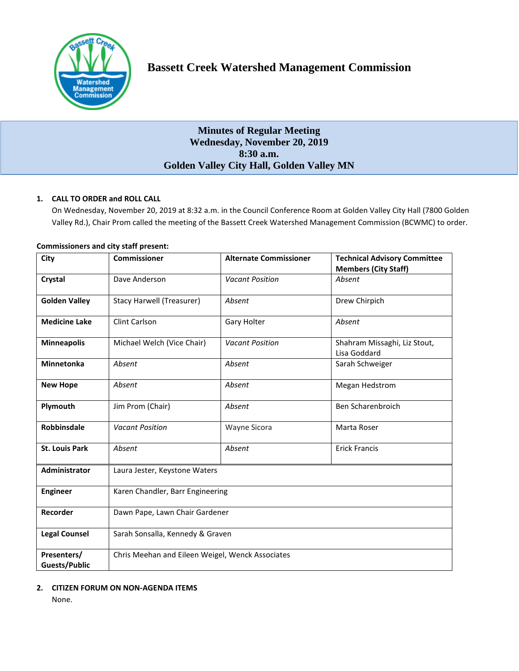

# **Minutes of Regular Meeting Wednesday, November 20, 2019 8:30 a.m. Golden Valley City Hall, Golden Valley MN**

## **1. CALL TO ORDER and ROLL CALL**

On Wednesday, November 20, 2019 at 8:32 a.m. in the Council Conference Room at Golden Valley City Hall (7800 Golden Valley Rd.), Chair Prom called the meeting of the Bassett Creek Watershed Management Commission (BCWMC) to order.

| City                                | Commissioner                                     | <b>Alternate Commissioner</b> | <b>Technical Advisory Committee</b><br><b>Members (City Staff)</b> |
|-------------------------------------|--------------------------------------------------|-------------------------------|--------------------------------------------------------------------|
| Crystal                             | Dave Anderson                                    | <b>Vacant Position</b>        | Absent                                                             |
| <b>Golden Valley</b>                | Stacy Harwell (Treasurer)                        | Absent                        | Drew Chirpich                                                      |
| <b>Medicine Lake</b>                | Clint Carlson                                    | Gary Holter                   | Absent                                                             |
| <b>Minneapolis</b>                  | Michael Welch (Vice Chair)                       | <b>Vacant Position</b>        | Shahram Missaghi, Liz Stout,<br>Lisa Goddard                       |
| <b>Minnetonka</b>                   | Absent                                           | Absent                        | Sarah Schweiger                                                    |
| <b>New Hope</b>                     | Absent                                           | Absent                        | Megan Hedstrom                                                     |
| Plymouth                            | Jim Prom (Chair)                                 | Absent                        | Ben Scharenbroich                                                  |
| <b>Robbinsdale</b>                  | <b>Vacant Position</b>                           | Wayne Sicora                  | Marta Roser                                                        |
| <b>St. Louis Park</b>               | Absent                                           | Absent                        | <b>Erick Francis</b>                                               |
| <b>Administrator</b>                | Laura Jester, Keystone Waters                    |                               |                                                                    |
| <b>Engineer</b>                     | Karen Chandler, Barr Engineering                 |                               |                                                                    |
| Recorder                            | Dawn Pape, Lawn Chair Gardener                   |                               |                                                                    |
| <b>Legal Counsel</b>                | Sarah Sonsalla, Kennedy & Graven                 |                               |                                                                    |
| Presenters/<br><b>Guests/Public</b> | Chris Meehan and Eileen Weigel, Wenck Associates |                               |                                                                    |

## **Commissioners and city staff present:**

## **2. CITIZEN FORUM ON NON-AGENDA ITEMS**

None.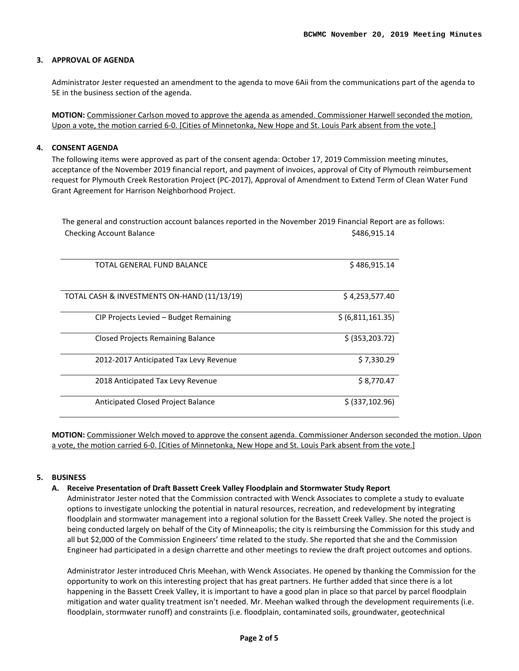#### **3. APPROVAL OF AGENDA**

Administrator Jester requested an amendment to the agenda to move 6Aii from the communications part of the agenda to 5E in the business section of the agenda.

**MOTION:** Commissioner Carlson moved to approve the agenda as amended. Commissioner Harwell seconded the motion. Upon a vote, the motion carried 6-0. [Cities of Minnetonka, New Hope and St. Louis Park absent from the vote.]

#### **4. CONSENT AGENDA**

The following items were approved as part of the consent agenda: October 17, 2019 Commission meeting minutes, acceptance of the November 2019 financial report, and payment of invoices, approval of City of Plymouth reimbursement request for Plymouth Creek Restoration Project (PC-2017), Approval of Amendment to Extend Term of Clean Water Fund Grant Agreement for Harrison Neighborhood Project.

The general and construction account balances reported in the November 2019 Financial Report are as follows: Checking Account Balance **\$486,915.14**  $\frac{1}{2}$ 

| TOTAL GENERAL FUND BALANCE                  | \$486,915.14      |
|---------------------------------------------|-------------------|
|                                             |                   |
| TOTAL CASH & INVESTMENTS ON-HAND (11/13/19) | \$4,253,577.40    |
| CIP Projects Levied - Budget Remaining      | \$ (6,811,161.35) |
| <b>Closed Projects Remaining Balance</b>    | \$ (353, 203.72)  |
| 2012-2017 Anticipated Tax Levy Revenue      | \$7,330.29        |
| 2018 Anticipated Tax Levy Revenue           | \$8,770.47        |
| <b>Anticipated Closed Project Balance</b>   | \$ (337, 102.96)  |

**MOTION:** Commissioner Welch moved to approve the consent agenda. Commissioner Anderson seconded the motion. Upon a vote, the motion carried 6-0. [Cities of Minnetonka, New Hope and St. Louis Park absent from the vote.]

#### **5. BUSINESS**

#### **A. Receive Presentation of Draft Bassett Creek Valley Floodplain and Stormwater Study Report**

Administrator Jester noted that the Commission contracted with Wenck Associates to complete a study to evaluate options to investigate unlocking the potential in natural resources, recreation, and redevelopment by integrating floodplain and stormwater management into a regional solution for the Bassett Creek Valley. She noted the project is being conducted largely on behalf of the City of Minneapolis; the city is reimbursing the Commission for this study and all but \$2,000 of the Commission Engineers' time related to the study. She reported that she and the Commission Engineer had participated in a design charrette and other meetings to review the draft project outcomes and options.

Administrator Jester introduced Chris Meehan, with Wenck Associates. He opened by thanking the Commission for the opportunity to work on this interesting project that has great partners. He further added that since there is a lot happening in the Bassett Creek Valley, it is important to have a good plan in place so that parcel by parcel floodplain mitigation and water quality treatment isn't needed. Mr. Meehan walked through the development requirements (i.e. floodplain, stormwater runoff) and constraints (i.e. floodplain, contaminated soils, groundwater, geotechnical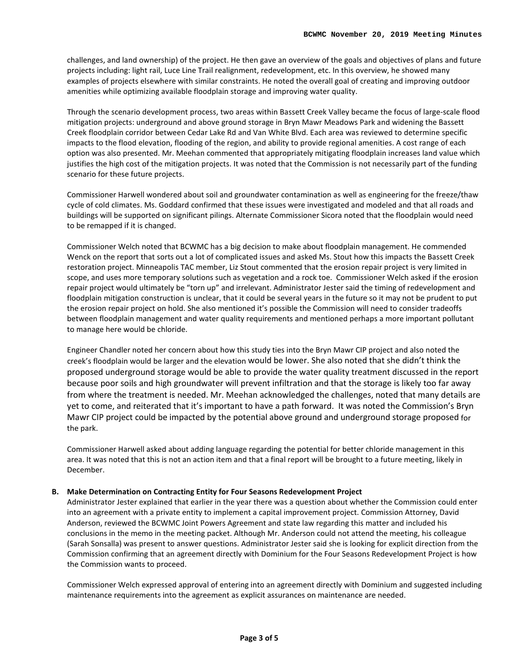challenges, and land ownership) of the project. He then gave an overview of the goals and objectives of plans and future projects including: light rail, Luce Line Trail realignment, redevelopment, etc. In this overview, he showed many examples of projects elsewhere with similar constraints. He noted the overall goal of creating and improving outdoor amenities while optimizing available floodplain storage and improving water quality.

Through the scenario development process, two areas within Bassett Creek Valley became the focus of large-scale flood mitigation projects: underground and above ground storage in Bryn Mawr Meadows Park and widening the Bassett Creek floodplain corridor between Cedar Lake Rd and Van White Blvd. Each area was reviewed to determine specific impacts to the flood elevation, flooding of the region, and ability to provide regional amenities. A cost range of each option was also presented. Mr. Meehan commented that appropriately mitigating floodplain increases land value which justifies the high cost of the mitigation projects. It was noted that the Commission is not necessarily part of the funding scenario for these future projects.

Commissioner Harwell wondered about soil and groundwater contamination as well as engineering for the freeze/thaw cycle of cold climates. Ms. Goddard confirmed that these issues were investigated and modeled and that all roads and buildings will be supported on significant pilings. Alternate Commissioner Sicora noted that the floodplain would need to be remapped if it is changed.

Commissioner Welch noted that BCWMC has a big decision to make about floodplain management. He commended Wenck on the report that sorts out a lot of complicated issues and asked Ms. Stout how this impacts the Bassett Creek restoration project. Minneapolis TAC member, Liz Stout commented that the erosion repair project is very limited in scope, and uses more temporary solutions such as vegetation and a rock toe. Commissioner Welch asked if the erosion repair project would ultimately be "torn up" and irrelevant. Administrator Jester said the timing of redevelopment and floodplain mitigation construction is unclear, that it could be several years in the future so it may not be prudent to put the erosion repair project on hold. She also mentioned it's possible the Commission will need to consider tradeoffs between floodplain management and water quality requirements and mentioned perhaps a more important pollutant to manage here would be chloride.

Engineer Chandler noted her concern about how this study ties into the Bryn Mawr CIP project and also noted the creek's floodplain would be larger and the elevation would be lower. She also noted that she didn't think the proposed underground storage would be able to provide the water quality treatment discussed in the report because poor soils and high groundwater will prevent infiltration and that the storage is likely too far away from where the treatment is needed. Mr. Meehan acknowledged the challenges, noted that many details are yet to come, and reiterated that it's important to have a path forward. It was noted the Commission's Bryn Mawr CIP project could be impacted by the potential above ground and underground storage proposed for the park.

Commissioner Harwell asked about adding language regarding the potential for better chloride management in this area. It was noted that this is not an action item and that a final report will be brought to a future meeting, likely in December.

### **B. Make Determination on Contracting Entity for Four Seasons Redevelopment Project**

Administrator Jester explained that earlier in the year there was a question about whether the Commission could enter into an agreement with a private entity to implement a capital improvement project. Commission Attorney, David Anderson, reviewed the BCWMC Joint Powers Agreement and state law regarding this matter and included his conclusions in the memo in the meeting packet. Although Mr. Anderson could not attend the meeting, his colleague (Sarah Sonsalla) was present to answer questions. Administrator Jester said she is looking for explicit direction from the Commission confirming that an agreement directly with Dominium for the Four Seasons Redevelopment Project is how the Commission wants to proceed.

Commissioner Welch expressed approval of entering into an agreement directly with Dominium and suggested including maintenance requirements into the agreement as explicit assurances on maintenance are needed.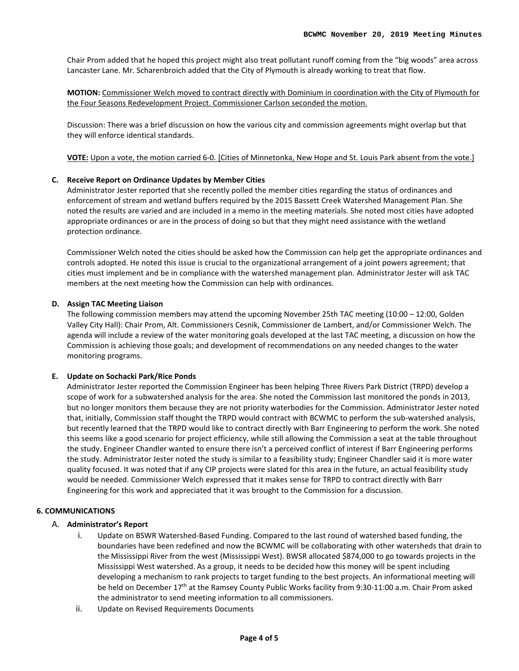Chair Prom added that he hoped this project might also treat pollutant runoff coming from the "big woods" area across Lancaster Lane. Mr. Scharenbroich added that the City of Plymouth is already working to treat that flow.

**MOTION:** Commissioner Welch moved to contract directly with Dominium in coordination with the City of Plymouth for the Four Seasons Redevelopment Project. Commissioner Carlson seconded the motion.

Discussion: There was a brief discussion on how the various city and commission agreements might overlap but that they will enforce identical standards.

**VOTE:** Upon a vote, the motion carried 6-0. [Cities of Minnetonka, New Hope and St. Louis Park absent from the vote.]

### **C. Receive Report on Ordinance Updates by Member Cities**

Administrator Jester reported that she recently polled the member cities regarding the status of ordinances and enforcement of stream and wetland buffers required by the 2015 Bassett Creek Watershed Management Plan. She noted the results are varied and are included in a memo in the meeting materials. She noted most cities have adopted appropriate ordinances or are in the process of doing so but that they might need assistance with the wetland protection ordinance.

Commissioner Welch noted the cities should be asked how the Commission can help get the appropriate ordinances and controls adopted. He noted this issue is crucial to the organizational arrangement of a joint powers agreement; that cities must implement and be in compliance with the watershed management plan. Administrator Jester will ask TAC members at the next meeting how the Commission can help with ordinances.

#### **D. Assign TAC Meeting Liaison**

The following commission members may attend the upcoming November 25th TAC meeting (10:00 – 12:00, Golden Valley City Hall): Chair Prom, Alt. Commissioners Cesnik, Commissioner de Lambert, and/or Commissioner Welch. The agenda will include a review of the water monitoring goals developed at the last TAC meeting, a discussion on how the Commission is achieving those goals; and development of recommendations on any needed changes to the water monitoring programs.

#### **E. Update on Sochacki Park/Rice Ponds**

Administrator Jester reported the Commission Engineer has been helping Three Rivers Park District (TRPD) develop a scope of work for a subwatershed analysis for the area. She noted the Commission last monitored the ponds in 2013, but no longer monitors them because they are not priority waterbodies for the Commission. Administrator Jester noted that, initially, Commission staff thought the TRPD would contract with BCWMC to perform the sub-watershed analysis, but recently learned that the TRPD would like to contract directly with Barr Engineering to perform the work. She noted this seems like a good scenario for project efficiency, while still allowing the Commission a seat at the table throughout the study. Engineer Chandler wanted to ensure there isn't a perceived conflict of interest if Barr Engineering performs the study. Administrator Jester noted the study is similar to a feasibility study; Engineer Chandler said it is more water quality focused. It was noted that if any CIP projects were slated for this area in the future, an actual feasibility study would be needed. Commissioner Welch expressed that it makes sense for TRPD to contract directly with Barr Engineering for this work and appreciated that it was brought to the Commission for a discussion.

#### **6. COMMUNICATIONS**

#### A. **Administrator's Report**

- i. Update on BSWR Watershed-Based Funding. Compared to the last round of watershed based funding, the boundaries have been redefined and now the BCWMC will be collaborating with other watersheds that drain to the Mississippi River from the west (Mississippi West). BWSR allocated \$874,000 to go towards projects in the Mississippi West watershed. As a group, it needs to be decided how this money will be spent including developing a mechanism to rank projects to target funding to the best projects. An informational meeting will be held on December 17<sup>th</sup> at the Ramsey County Public Works facility from 9:30-11:00 a.m. Chair Prom asked the administrator to send meeting information to all commissioners.
- ii. Update on Revised Requirements Documents